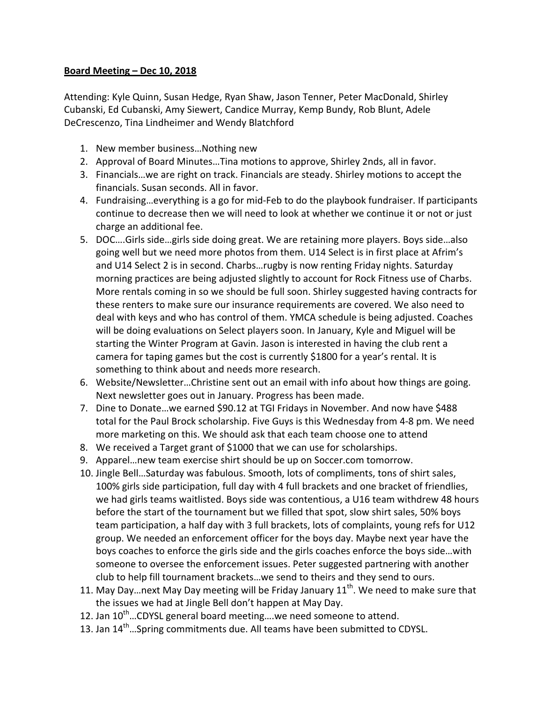## **Board Meeting – Dec 10, 2018**

Attending: Kyle Quinn, Susan Hedge, Ryan Shaw, Jason Tenner, Peter MacDonald, Shirley Cubanski, Ed Cubanski, Amy Siewert, Candice Murray, Kemp Bundy, Rob Blunt, Adele DeCrescenzo, Tina Lindheimer and Wendy Blatchford

- 1. New member business...Nothing new
- 2. Approval of Board Minutes...Tina motions to approve, Shirley 2nds, all in favor.
- 3. Financials...we are right on track. Financials are steady. Shirley motions to accept the financials. Susan seconds. All in favor.
- 4. Fundraising...everything is a go for mid-Feb to do the playbook fundraiser. If participants continue to decrease then we will need to look at whether we continue it or not or just charge an additional fee.
- 5. DOC....Girls side...girls side doing great. We are retaining more players. Boys side...also going well but we need more photos from them. U14 Select is in first place at Afrim's and U14 Select 2 is in second. Charbs...rugby is now renting Friday nights. Saturday morning practices are being adjusted slightly to account for Rock Fitness use of Charbs. More rentals coming in so we should be full soon. Shirley suggested having contracts for these renters to make sure our insurance requirements are covered. We also need to deal with keys and who has control of them. YMCA schedule is being adjusted. Coaches will be doing evaluations on Select players soon. In January, Kyle and Miguel will be starting the Winter Program at Gavin. Jason is interested in having the club rent a camera for taping games but the cost is currently \$1800 for a year's rental. It is something to think about and needs more research.
- 6. Website/Newsletter...Christine sent out an email with info about how things are going. Next newsletter goes out in January. Progress has been made.
- 7. Dine to Donate...we earned \$90.12 at TGI Fridays in November. And now have \$488 total for the Paul Brock scholarship. Five Guys is this Wednesday from 4-8 pm. We need more marketing on this. We should ask that each team choose one to attend
- 8. We received a Target grant of \$1000 that we can use for scholarships.
- 9. Apparel...new team exercise shirt should be up on Soccer.com tomorrow.
- 10. Jingle Bell...Saturday was fabulous. Smooth, lots of compliments, tons of shirt sales, 100% girls side participation, full day with 4 full brackets and one bracket of friendlies, we had girls teams waitlisted. Boys side was contentious, a U16 team withdrew 48 hours before the start of the tournament but we filled that spot, slow shirt sales, 50% boys team participation, a half day with 3 full brackets, lots of complaints, young refs for U12 group. We needed an enforcement officer for the boys day. Maybe next year have the boys coaches to enforce the girls side and the girls coaches enforce the boys side...with someone to oversee the enforcement issues. Peter suggested partnering with another club to help fill tournament brackets...we send to theirs and they send to ours.
- 11. May Day…next May Day meeting will be Friday January  $11<sup>th</sup>$ . We need to make sure that the issues we had at Jingle Bell don't happen at May Day.
- 12. Jan  $10^{th}$  ... CDYSL general board meeting ... we need someone to attend.
- 13. Jan  $14^{th}$ ... Spring commitments due. All teams have been submitted to CDYSL.